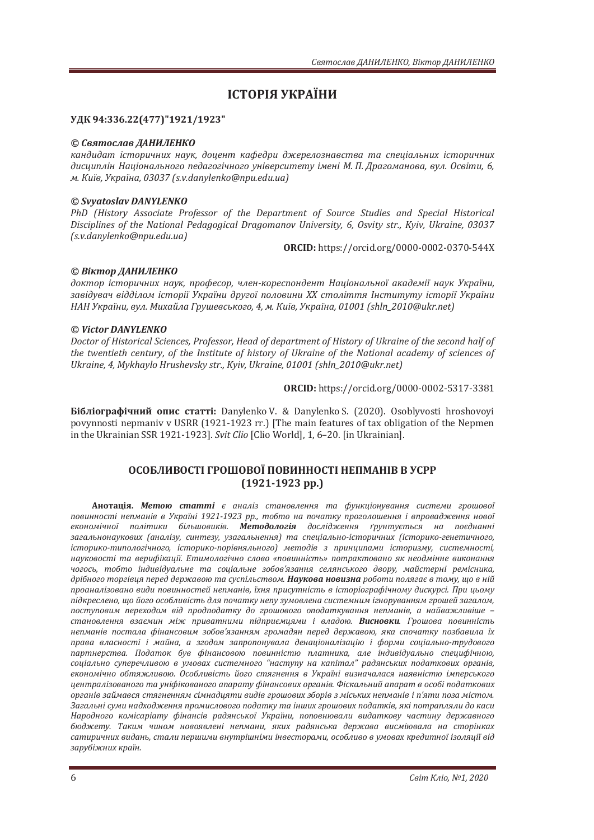# **ІСТОРІЯ УКРАЇНИ**

## **ʢʓʙ94:336.22(477)"1921/1923"**

#### © Святослав ДАНИЛЕНКО

кандидат *історичних наук, доцент кафедри джерелознавства та спеціальних історичних* дисциплін Національного педагогічного університету імені М. П. Драгоманова, вул. Освіти, 6, *ˏǤʙˋ˫˅ǡʢˍ˓˃˫ː˃ǡͶͶͽȋsǤvǤdanylenko@npuǤeduǤua)*

## *© Svyatoslav DANYLENKO*

PhD (History Associate Professor of the Department of Source Studies and Special Historical *Disciplines of the National Pedagogical Dragomanov University, 6, Osvity str., Kyiy, Ukraine, 03037*  $(s.v.dan v len ko@npu.edu. uq)$ 

**ORCID:** https://orcid.org/0000-0002-0370-544X

## © Віктор ДАНИЛЕНКО

доктор *історичних наук, професор, член-кореспондент Національної академії наук України*, завідувач відділом історії України другої половини XX століття Інституту історії України *НАН України, вул. Михайла Грушевського, 4, м. Київ, Україна, 01001 (shln 2010@ukr.net)* 

#### *© Victor DANYLENKO*

Doctor of Historical Sciences, Professor, Head of department of History of Ukraine of the second half of the twentieth century, of the Institute of history of Ukraine of the National academy of sciences of *Ukraine, 4, Mykhaylo Hrushevsky str., Kyiv, Ukraine, 01001 (shln\_2010@ukr.net)* 

**ORCID:** https://orcid.org/0000-0002-5317-3381

**Бібліографічний опис статті:** Danylenko V. & Danylenko S. (2020). Osoblyvosti hroshovoyi povynnosti nepmaniv v USRR (1921-1923 rr.) [The main features of tax obligation of the Nepmen in the Ukrainian SSR 1921-1923]. Svit Clio [Clio World], 1, 6-20. [in Ukrainian].

# **ОСОБЛИВОСТІ ГРОШОВОЇ ПОВИННОСТІ НЕПМАНІВ В УСРР**  $(1921-1923$  pp.)

**Анотація. Метою статті** є аналіз становлення та функціонування системи грошової повинності непманів в Україні 1921-1923 рр., тобто на початку проголошення і впровадження нової економічної політики більшовиків. Методологія дослідження ґрунтується на поєднанні *ˊ˃ˆ˃ˎ˟ːˑː˃˖ˍˑ˅ˋ˘ ȋ˃ː˃ˎ˪ˊ˖ǡ ˔ˋː˕ˈˊ˖ǡ ˖ˊ˃ˆ˃ˎ˟ːˈːːˢȌ ˕˃ ˔˒ˈ˙˪˃ˎ˟ːˑ-˪˔˕ˑ˓ˋ˚ːˋ˘ ȋ˪˔˕ˑ˓ˋˍˑ-ˆˈːˈ˕ˋ˚ːˑˆˑǡ* icтopuкo-типологiчного, icтopuкo-nopiвняльного) методiв з принципами icтopuзму, системностi, науковості та верифікації. Етимологічно слово «повинність» потрактовано як неодмінне виконання чогось, тобто індивідуальне та соціальне зобов'язання селянського двору, майстерні ремісника, дрібного торгівця перед державою та суспільством. Наукова новизна роботи полягає в тому, що в ній проаналізовано види повинностей непманів, їхня присутність в історіографічному дискурсі. При цьому підкреслено, що його особливість для початку непу зумовлена системним ігноруванням грошей загалом, поступовим переходом від продподатку до грошового оподаткування непманів, а найважливіше становлення взаємин між приватними підприємцями і владою. Висновки. Грошова повинність непманів постала фінансовим зобов'язанням громадян перед державою, яка спочатку позбавила їх права власності і майна, а згодом запропонувала денаціоналізацію і форми соціально-трудового лартнерства. Податок був фінансовою повинністю платника, але індивідуально специфічною, соціально суперечливою в умовах системного "наступу на капітал" радянських податкових органів, економічно обтяжливою. Особливість його стягнення в Україні визначалася наявністю імперського **иентралізованого та уніфікованого апарату фінансових органів. Фіскальний апарат в особі податкових** органів займався стягненням сімнадияти видів грошових зборів з міських непманів і п'яти поза містом. Загальні суми надходження промислового податку та інших грошових податків, які потрапляли до каси Народного комісаріату фінансів радянської України, поповнювали видаткову частину державного бюджету. Таким чином новоявлені непмани, яких радянська держава висміювала на сторінках сатиричних видань, стали першими внутрішніми інвесторами, особливо в умовах кредитної ізоляції від зарубіжних країн.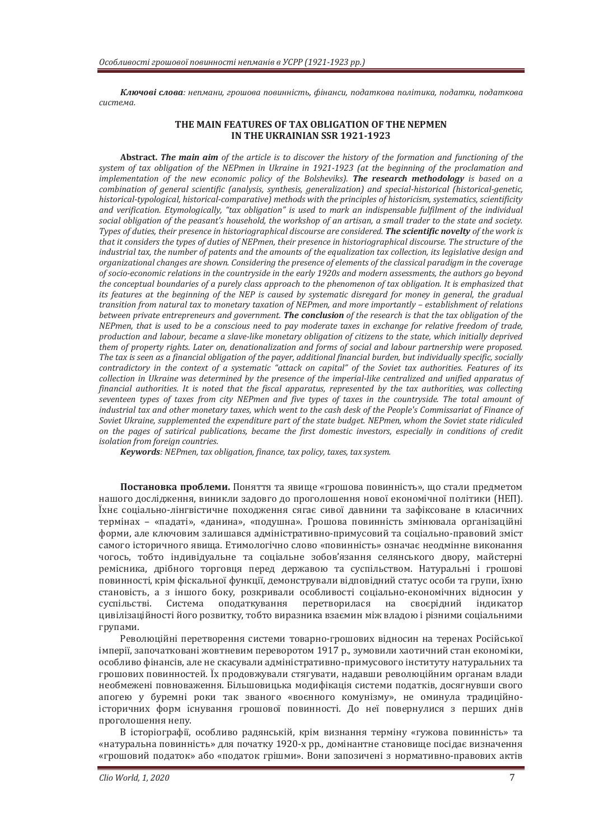Ключові слова: непмани, грошова повинність, фінанси, податкова політика, податки, податкова система.

#### THE MAIN FEATURES OF TAX OBLIGATION OF THE NEPMEN **IN THE UKRAINIAN SSR 1921-1923**

**Abstract. The main aim** of the article is to discover the history of the formation and functioning of the *system of tax obligation of the NEPmen in Ukraine in 1921-1923 (at the beginning of the proclamation and implementation of the new economic policy of the Bolsheviks). The research methodology is based on a*  $combination$  *of general scientific (analysis, synthesis, generalization) and special-historical (historical-genetic, historical-typological, historical-comparative) methods with the principles of historicism, systematics, scientificity* and verification. Etymologically, "tax obligation" is used to mark an indispensable fulfilment of the individual social obligation of the peasant's household, the workshop of an artisan, a small trader to the state and society. Types of duties, their presence in historiographical discourse are considered. The scientific novelty of the work is *that it considers the types of duties of NEPmen, their presence in historiographical discourse. The structure of the industrial tax, the number of patents and the amounts of the equalization tax collection, its legislative design and* organizational changes are shown. Considering the presence of elements of the classical paradigm in the coverage *of socio-economic relations in the countryside in the early 1920s and modern assessments, the authors go beyond* the conceptual boundaries of a purely class approach to the phenomenon of tax obligation. It is emphasized that *its features at the beginning of the NEP is caused by systematic disregard for money in general, the gradual transition from natural tax to monetary taxation of NEPmen, and more importantly - establishment of relations* between private entrepreneurs and government. **The conclusion** of the research is that the tax obligation of the *NEPmen, that is used to be a conscious need to pay moderate taxes in exchange for relative freedom of trade, production and labour, became a slave-like monetary obligation of citizens to the state, which initially deprived* them of property rights. Later on, denationalization and forms of social and labour partnership were proposed. The tax is seen as a financial obligation of the payer, additional financial burden, but individually specific, socially *contradictory in the context of a systematic "attack on capital" of the Soviet tax authorities. Features of its* collection in Ukraine was determined by the presence of the imperial-like centralized and unified apparatus of *financial authorities. It is noted that the fiscal apparatus, represented by the tax authorities, was collecting* seventeen types of taxes from city NEPmen and five types of taxes in the countryside. The total amount of *industrial tax and other monetary taxes, which went to the cash desk of the People's Commissariat of Finance of* Soviet Ukraine, supplemented the expenditure part of the state budget. NEPmen, whom the Soviet state ridiculed on the pages of satirical publications, became the first domestic investors, especially in conditions of credit *isolation from foreign countries.* 

*Keywords*: *NEPmen, tax obligation, finance, tax policy, taxes, tax system.* 

Постановка проблеми. Поняття та явище «грошова повинність», що стали предметом нашого лослілження, виникли заловго ло проголошення нової економічної політики (НЕП). Їхнє соціально-лінгвістичне похолження сягає сивої давнини та зафіксоване в класичних термінах – «падаті», «данина», «подушна». Грошова повинність змінювала організаційні форми, але ключовим залишався адміністративно-примусовий та соціально-правовий зміст самого історичного явища. Етимологічно слово «повинність» означає неодмінне виконання чогось, тобто індивідуальне та соціальне зобов'язання селянського двору, майстерні ремісника, дрібного торговця перед державою та суспільством. Натуральні і грошові повинності, крім фіскальної функції, демонстрували відповідний статус особи та групи, їхню становість, а з іншого боку, розкривали особливості соціально-економічних відносин у суспільстві. Система оподаткування перетворилася на своєрідний індикатор цивілізаційності його розвитку, тобто виразника взаємин між владою і різними соціальними групами.

Революційні перетворення системи товарно-грошових відносин на теренах Російської імперії, започатковані жовтневим переворотом 1917 р., зумовили хаотичний стан економіки, особливо фінансів, але не скасували адміністративно-примусового інституту натуральних та грошових повинностей. Їх продовжували стягувати, надавши революційним органам влади необмежені повноваження. Більшовицька модифікація системи податків, досягнувши свого апогею у буремні роки так званого «воєнного комунізму», не оминула традиційноiсторичних форм iснування грошової повинності. До неї повернулися з перших днів проголошення непу.

В історіографії, особливо радянській, крім визнання терміну «гужова повинність» та «натуральна повинність» для початку 1920-х рр., домінантне становище посідає визначення «грошовий податок» або «податок грішми». Вони запозичені з нормативно-правових актів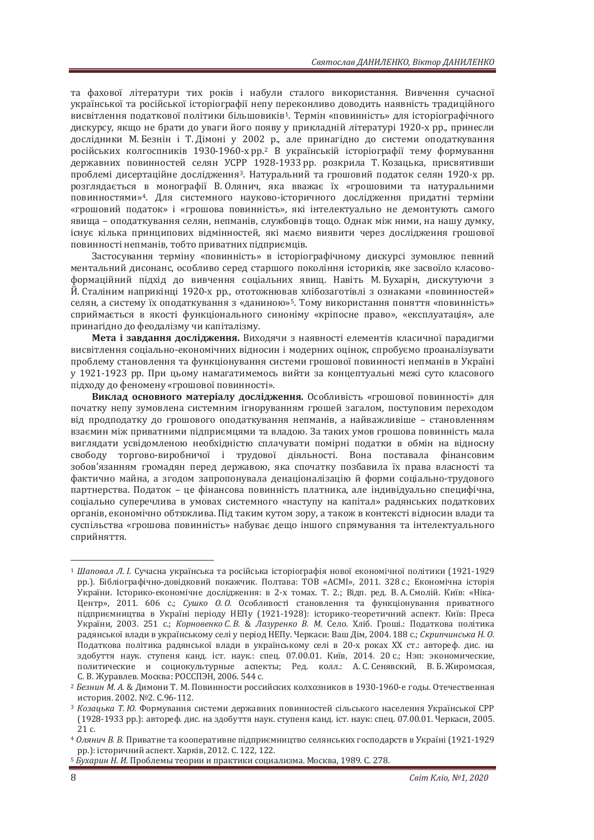та фахової літератури тих років і набули сталого використання. Вивчення сучасної української та російської історіографії непу переконливо доводить наявність традиційного висвітлення податкової політики більшовиків<sup>1</sup>. Термін «повинність» для історіографічного дискурсу, якщо не брати до уваги його появу у прикладній літературі 1920-х рр., принесли дослідники М. Безнін і Т. Дімоні у 2002 р., але принагідно до системи оподаткування російських колгоспників 1930-1960-х рр.<sup>2</sup> В українській історіографії тему формування державних повинностей селян УСРР 1928-1933 рр. розкрила Т. Козацька, присвятивши проблемі дисертаційне дослідження<sup>3</sup>. Натуральний та грошовий податок селян 1920-х рр. розглядається в монографії В. Олянич, яка вважає їх «грошовими та натуральними повинностями»<sup>4</sup>. Для системного науково-історичного дослідження придатні терміни «грошовий податок» і «грошова повинність», які інтелектуально не демонтують самого явища - оподаткування селян, непманів, службовців тощо. Однак між ними, на нашу думку, існує кілька принципових відмінностей, які маємо виявити через дослідження грошової повинності непманів, тобто приватних підприємців.

Застосування терміну «повинність» в історіографічному дискурсі зумовлює певний ментальний дисонанс, особливо серед старшого покоління істориків, яке засвоїло класовоформаційний підхід до вивчення соціальних явищ. Навіть М.Бухарін, дискутуючи з Й. Сталіним наприкінці 1920-х рр., ототожнював хлібозаготівлі з ознаками «повинностей» селян, а систему їх оподаткування з «даниною»<sup>5</sup>. Тому використання поняття «повинність» сприймається в якості функціонального синоніму «кріпосне право», «експлуатація», але принагідно до феодалізму чи капіталізму.

Мета і завдання дослідження. Виходячи з наявності елементів класичної парадигми висвітлення соціально-економічних відносин і модерних оцінок, спробуємо проаналізувати проблему становлення та функціонування системи грошової повинності непманів в Україні у 1921-1923 рр. При цьому намагатимемось вийти за концептуальні межі суто класового підходу до феномену «грошової повинності».

Виклад основного матеріалу дослідження. Особливість «грошової повинності» для початку непу зумовлена системним ігноруванням грошей загалом, поступовим переходом від продподатку до грошового оподаткування непманів, а найважливіше - становленням взаємин між приватними підприємцями та владою. За таких умов грошова повинність мала виглядати усвідомленою необхідністю сплачувати помірні податки в обмін на відносну свободу торгово-виробничої і трудової діяльності. Вона поставала фінансовим зобов'язанням громадян перед державою, яка спочатку позбавила їх права власності та фактично майна, а згодом запропонувала денаціоналізацію й форми соціально-трудового партнерства. Полаток – це фінансова повинність платника, але індивілуально специфічна. соціально суперечлива в умовах системного «наступу на капітал» радянських податкових органів, економічно обтяжлива. Під таким кутом зору, а також в контексті відносин влади та суспільства «грошова повинність» набуває дещо іншого спрямування та інтелектуального сприйняття.

<sup>&</sup>lt;sup>1</sup> Шаповал Л. I. Сучасна українська та російська історіографія нової економічної політики (1921-1929 рр.). Бібліографічно-довідковий покажчик. Полтава: ТОВ «АСМІ», 2011. 328 с.; Економічна історія України. Історико-економічне дослідження: в 2-х томах. Т. 2.; Відп. ред. В. А. Смолій. Київ: «Ніка-Центр», 2011. 606 с.; Сушко О.О. Особливості становлення та функціонування приватного пілприємництва в Україні періолу НЕПу (1921-1928); історико-теоретичний аспект. Київ: Преса України, 2003. 251 с.; Корновенко С. В. & Лазуренко В. М. Село. Хліб. Гроші.: Податкова політика радянської влади в українському селі у період НЕПу. Черкаси: Ваш Дім, 2004. 188 с.; Скрипчинська Н. О. Податкова політика радянської влади в українському селі в 20-х роках XX ст.: автореф. дис. на здобуття наук. ступеня канд. іст. наук.: спец. 07.00.01. Київ, 2014. 20 с.; Нэп: экономические, политические и социокультурные аспекты; Ред. колл.: А.С. Сенявский, В. Б. Жиромская, С. В. Журавлев. Москва: РОССПЭН, 2006. 544 с.

<sup>&</sup>lt;sup>2</sup> Безнин М. А. & Димони Т. М. Повинности российских колхозников в 1930-1960-е годы. Отечественная история. 2002. №2. С.96-112.

<sup>&</sup>lt;sup>3</sup> Козацька Т. Ю. Формування системи державних повинностей сільського населення Української СРР (1928-1933 рр.): автореф. дис. на здобуття наук. ступеня канд. іст. наук: спец. 07.00.01. Черкаси, 2005.  $21c$ 

<sup>&</sup>lt;sup>4</sup> Олянич В. В. Приватне та кооперативне підприємництво селянських господарств в Україні (1921-1929 рр.): історичний аспект. Харків, 2012. С. 122, 122.<br><sup>5</sup> *Бухарин Н. И*. Проблемы теории и практики социализма. Москва, 1989. С. 278.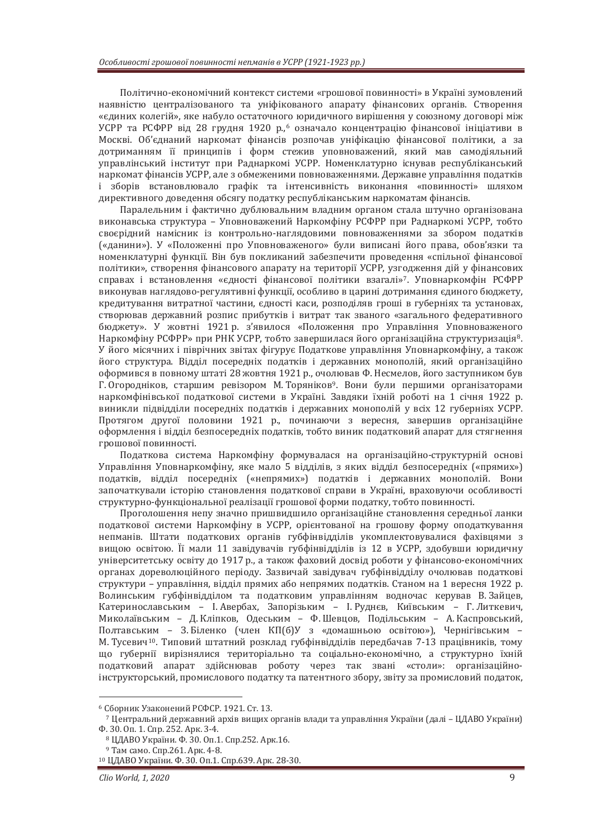Політично-економічний контекст системи «грошової повинності» в Україні зумовлений наявністю централізованого та уніфікованого апарату фінансових органів. Створення «єдиних колегій», яке набуло остаточного юридичного вирішення у союзному договорі між УСРР та РСФРР від 28 грудня 1920 р.,<sup>6</sup> означало концентрацію фінансової ініціативи в Москві. Об'єднаний наркомат фінансів розпочав уніфікацію фінансової політики, а за дотриманням її принципів і форм стежив уповноважений, який мав самодіяльний управлінський інститут при Раднаркомі УСРР. Номенклатурно існував республіканський наркомат фінансів УСРР, але з обмеженими повноваженнями. Державне управління податків і зборів встановлювало графік та інтенсивність виконання «повинності» шляхом директивного доведення обсягу податку республіканським наркоматам фінансів.

Паралельним і фактично дублювальним владним органом стала штучно організована виконавська структура – Уповноважений Наркомфіну РСФРР при Раднаркомі УСРР, тобто своєрідний намісник із контрольно-наглядовими повноваженнями за збором податків («данини»). У «Положенні про Уповноваженого» були виписані його права, обов'язки та ломенклатурні функції. Він був покликаний забезпечити проведення «спільної фінансової політики», створення фінансового апарату на території УСРР, узгодження дій у фінансових справах і встановлення «єдності фінансової політики взагалі»<sup>7</sup>. Уповнаркомфін РСФРР виконував наглядово-регулятивні функції, особливо в царині дотримання єдиного бюджету, кредитування витратної частини, єдності каси, розподіляв гроші в губерніях та установах, створював державний розпис прибутків і витрат так званого «загального федеративного бюджету». У жовтні 1921 р. з'явилося «Положення про Управління Уповноваженого Наркомфіну РСФРР» при РНК УСРР, тобто завершилася його організаційна структуризація<sup>8</sup>. У його місячних і піврічних звітах фігурує Податкове управління Уповнаркомфіну, а також його структура. Відділ посередніх податків і державних монополій, який організаційно оформився в повному штаті 28 жовтня 1921 р., очолював Ф. Несмелов, його заступником був Г. Огородніков, старшим ревізором М. Торяніков<sup>9</sup>. Вони були першими організаторами наркомфінівської податкової системи в Україні. Завдяки їхній роботі на 1 січня 1922 р. виникли підвідділи посередніх податків і державних монополій у всіх 12 губерніях УСРР. Протягом другої половини 1921 р., починаючи з вересня, завершив організаційне оформлення і відділ безпосередніх податків, тобто виник податковий апарат для стягнення гоощової повинності.

Податкова система Наркомфіну формувалася на організаційно-структурній основі Управління Уповнаркомфіну, яке мало 5 відділів, з яких відділ безпосередніх («прямих») податків, відділ посередніх («непрямих») податків і державних монополій. Вони започаткували історію становлення податкової справи в Україні, враховуючи особливості структурно-функціональної реалізації грошової форми полатку, тобто повинності.

Проголошення непу значно пришвидшило організаційне становлення середньої ланки податкової системи Наркомфіну в УСРР, орієнтованої на грошову форму оподаткування непманів. Штати податкових органів губфінвідділів укомплектовувалися фахівцями з вищою освітою. Її мали 11 завідувачів губфінвідділів із 12 в УСРР, здобувши юридичну університетську освіту до 1917 р., а також фаховий досвід роботи у фінансово-економічних органах дореволюційного періоду. Зазвичай завідувач губфінвідділу очолював податкові структури - управління, відділ прямих або непрямих податків. Станом на 1 вересня 1922 р. Волинським губфінвідділом та податковим управлінням водночас керував В.Зайцев, Катеринославським - І. Авербах, Запорізьким - І. Руднєв, Київським - Г. Литкевич. Миколаївським – Д. Кліпков. Одеським – Ф. Шевцов. Подільським – А. Каспровський. Полтавським - З.Біленко (член КП(б)У з «домашньою освітою»). Чернігівським -М. Тусевич<sup>10</sup>. Типовий штатний розклад губфінвідділів передбачав 7-13 працівників, тому що губернії вирізнялися територіально та соціально-економічно, а структурно їхній податковий апарат здійснював роботу через так звані «столи»: організаційноінструкторський, промислового податку та патентного збору, звіту за промисловий податок,

<sup>6</sup> Сборник Узаконений РСФСР. 1921. Ст. 13.

 $^7$  Центральний державний архів вищих органів влади та управління України (далі – ЦДАВО України)<br>Ф. 30. Оп. 1. Спр. 252. Арк. 3-4.

<sup>&</sup>lt;sup>8</sup> ЦДАВО України. Ф. 30. Оп.1. Спр.252. Арк.16.

<sup>&</sup>lt;sup>9</sup> Там само. Спр.261. Арк. 4-8.<br><sup>10</sup> ЦДАВО України. Ф. 30. Оп.1. Спр.639. Арк. 28-30.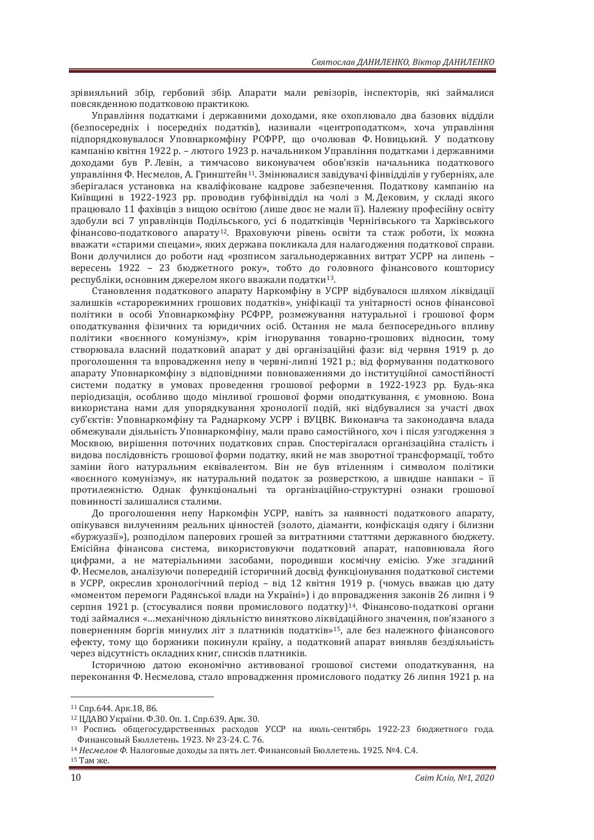зрівняльний збір, гербовий збір. Апарати мали ревізорів, інспекторів, які займалися повсякденною податковою практикою.

Управління податками і державними доходами, яке охоплювало два базових відділи (безпосередніх і посередніх податків), називали «центроподатком», хоча управління підпорядковувалося Уповнаркомфіну РСФРР, що очолював Ф. Новицький. У податкову кампанію квітня 1922 р. – лютого 1923 р. начальником Управління полатками і державними доходами був Р. Левін, а тимчасово виконувачем обов'язків начальника податкового управління Ф. Несмелов, А. Гринштейн<sup>11</sup>. Змінювалися завідувачі фінвідділів у губерніях, але зберігалася установка на кваліфіковане кадрове забезпечення. Податкову кампанію на Київщині в 1922-1923 рр. проводив губфінвідділ на чолі з М. Дековим, у складі якого працювало 11 фахівців з вищою освітою (лише двоє не мали її). Належну професійну освіту здобули всі 7 управлінців Подільського, усі 6 податківців Чернігівського та Харківського фінансово-податкового апарату<sup>12</sup>. Враховуючи рівень освіти та стаж роботи, їх можна вважати «старими спецами», яких держава покликала для налагодження податкової справи. Вони долучилися до роботи над «розписом загальнодержавних витрат УСРР на липень вересень 1922 - 23 бюджетного року», тобто до головного фінансового кошторису республіки, основним джерелом якого вважали податки<sup>13</sup>.

Становлення податкового апарату Наркомфіну в УСРР відбувалося шляхом ліквідації залишків «старорежимних грошових полатків», уніфікації та унітарності основ фінансової політики в особі Уповнаркомфіну РСФРР, розмежування натуральної і грошової форм оподаткування фізичних та юридичних осіб. Остання не мала безпосереднього впливу політики «воєнного комунізму», крім ігнорування товарно-грошових відносин, тому створювала власний податковий апарат у дві організаційні фази: від червня 1919 р. до проголошення та впровадження непу в червні-липні 1921 р.; від формування податкового апарату Уповнаркомфіну з відповідними повноваженнями до інституційної самостійності системи податку в умовах проведення грошової реформи в 1922-1923 рр. Будь-яка періодизація, особливо щодо мінливої грошової форми оподаткування, є умовною. Вона використана нами для упорядкування хронології подій, які відбувалися за участі двох суб'єктів: Уповнаркомфіну та Раднаркому УСРР і ВУЦВК. Виконавча та законодавча влада обмежували діяльність Уповнаркомфіну, мали право самостійного, хоч і після узгодження з Москвою, вирішення поточних податкових справ. Спостерігалася організаційна сталість і видова послідовність грошової форми податку, який не мав зворотної трансформації, тобто заміни його натуральним еквівалентом. Він не був втіленням і символом політики «воєнного комунізму», як натуральний податок за розверсткою, а швидше навпаки - її протилежністю. Однак функціональні та організаційно-структурні ознаки грошової повинності залишалися сталими.

До проголошення непу Наркомфін УСРР, навіть за наявності податкового апарату, опікувався вилученням реальних цінностей (золото, діаманти, конфіскація одягу і білизни «буржуазії»), розподілом паперових грошей за витратними статтями державного бюджету. Емісійна фінансова система, використовуючи податковий апарат, наповнювала його цифрами, а не матеріальними засобами, породивши космічну емісію. Уже згаданий Ф. Несмелов, аналізуючи попередній історичний досвід функціонування податкової системи в УСРР, окреслив хронологічний період - від 12 квітня 1919 р. (чомусь вважав цю дату «моментом перемоги Радянської влади на Україні») і до впровадження законів 26 липня і 9 серпня 1921 р. (стосувалися появи промислового податку)<sup>14</sup>. Фінансово-податкові органи толі займалися «…механічною ліяльністю винятково ліквілаційного значення, пов'язаного з поверненням боргів минулих літ з платників податків»<sup>15</sup>, але без належного фінансового ефекту, тому що боржники покинули країну, а податковий апарат виявляв бездіяльність через відсутність окладних книг, списків платників.

Iсторичною датою економічно активованої грошової системи оподаткування, на переконання Ф. Несмелова, стало впровадження промислового податку 26 липня 1921 р. на

<sup>11</sup> Спр.644. Арк.18, 86.<br><sup>12</sup> ЦДАВО України. Ф.30. Оп. 1. Спр.639. Арк. 30.

<sup>&</sup>lt;sup>13</sup> Роспись общегосударственных расходов УССР на июль-сентябрь 1922-23 бюджетного года.<br>Финансовый Бюллетень 1923. № 23-24. С. 76.

<sup>&</sup>lt;sup>14</sup> Несмелов Ф. Налоговые доходы за пять лет. Финансовый Бюллетень. 1925. №4. С.4.

<sup>15</sup> Там же.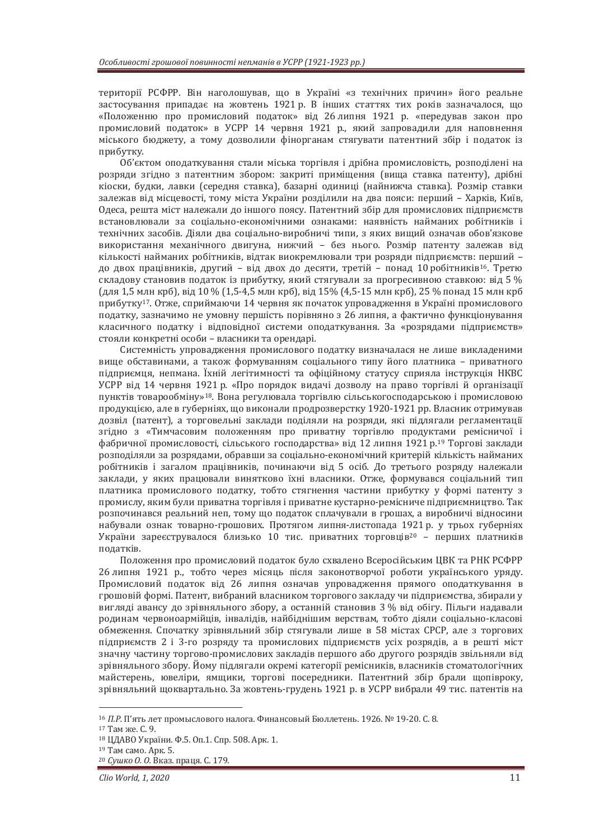території РСФРР. Він наголошував, що в Україні «з технічних причин» його реальне застосування припадає на жовтень 1921 р. В інших статтях тих років зазначалося, що «Положенню про промисловий податок» від 26 липня 1921 р. «передував закон про промисловий податок» в УСРР 14 червня 1921 р., який запровадили для наповнення міського бюджету, а тому дозволили фінорганам стягувати патентний збір і податок із прибутку.

Об'єктом ополаткування стали міська торгівля і дрібна промисловість, розполілені на розряди згідно з патентним збором: закриті приміщення (вища ставка патенту), дрібні кіоски, будки, лавки (середня ставка), базарні одиниці (найнижча ставка). Розмір ставки залежав від місцевості, тому міста України розділили на два пояси: перший - Харків, Київ, Одеса, решта міст належали до іншого поясу. Патентний збір для промислових підприємств встановлювали за соціально-економічними ознаками: наявність найманих робітників і технічних засобів. Діяли два соціально-виробничі типи, з яких вищий означав обов'язкове використання механічного двигуна, нижчий - без нього. Розмір патенту залежав від кількості найманих робітників, відтак виокремлювали три розряди підприємств: перший до двох працівників, другий – від двох до десяти, третій – понад 10 робітників<sup>16</sup>. Третю складову становив податок із прибутку, який стягували за прогресивною ставкою; від 5 %  $(\mu$ ля 1,5 млн крб), від 10 % (1,5-4,5 млн крб), від 15% (4,5-15 млн крб), 25 % понад 15 млн крб прибутку<sup>17</sup>. Отже. сприймаючи 14 червня як початок упровадження в Україні промислового податку, зазначимо не умовну першість порівняно з 26 липня, а фактично функціонування класичного податку і відповідної системи оподаткування. За «розрядами підприємств» стояли конкретні особи - власники та орендарі.

Системність упровадження промислового податку визначалася не лише викладеними вище обставинами, а також формуванням соціального типу його платника – приватного підприємця, непмана. Їхній легітимності та офіційному статусу сприяла інструкція НКВС УСРР від 14 червня 1921 р. «Про порядок видачі дозволу на право торгівлі й організації пунктів товарообміну»<sup>18</sup>. Вона регулювала торгівлю сільськогосподарською і промисловою продукцією, але в губерніях, що виконали продрозверстку 1920-1921 рр. Власник отримував дозвіл (патент), а торговельні заклади поділяли на розряди, які підлягали регламентації згідно з «Тимчасовим положенням про приватну торгівлю продуктами ремісничої і фабричної промисловості, сільського господарства» від 12 липня 1921 р.<sup>19</sup> Торгові заклади розподіляли за розрядами, обравши за соціально-економічний критерій кількість найманих робітників і загалом працівників, починаючи від 5 осіб. До третього розряду належали заклади, у яких працювали винятково їхні власники. Отже, формувався соціальний тип платника промислового податку, тобто стягнення частини прибутку у формі патенту з промислу, яким були приватна торгівля і приватне кустарно-ремісниче підприємництво. Так розпочинався реальний неп, тому що податок сплачували в грошах, а виробничі відносини набували ознак товарно-грошових. Протягом липня-листопада 1921 р. у трьох губерніях України зареєструвалося близько 10 тис. приватних торговців<sup>20</sup> – перших платників податків.

Положення про промисловий податок було схвалено Всеросійським ЦВК та РНК РСФРР 26 липня 1921 р., тобто через місяць після законотворчої роботи українського уряду. Промисловий податок від 26 липня означав упровадження прямого оподаткування в грошовій формі. Патент, вибраний власником торгового закладу чи підприємства, збирали у вигляді авансу до зрівняльного збору, а останній становив 3 % від обігу. Пільги надавали родинам червоноармійців, інвалідів, найбілнішим верствам, тобто діяли соціально-класові обмеження. Спочатку зрівняльний збір стягували лише в 58 містах СРСР, але з торгових підприємств 2 і 3-го розряду та промислових підприємств усіх розрядів, а в решті міст значну частину торгово-промислових закладів першого або другого розрядів звільняли від зрівняльного збору. Йому підлягали окремі категорії ремісників, власників стоматологічних майстерень, ювеліри, ямщики, торгові посередники. Патентний збір брали щопівроку, зрівняльний щоквартально. За жовтень-грудень 1921 р. в УСРР вибрали 49 тис. патентів на

<sup>&</sup>lt;sup>16</sup> *П.Р.* П'ять лет промыслового налога. Финансовый Бюллетень. 1926. № 19-20. С. 8.<br><sup>17</sup> Там же. С. 9.<br><sup>19</sup> Там само. Арк. 5.<br><sup>19</sup> Там само. Арк. 5. 20 *Сушко 0. 0.* Вказ. праця. С. 179.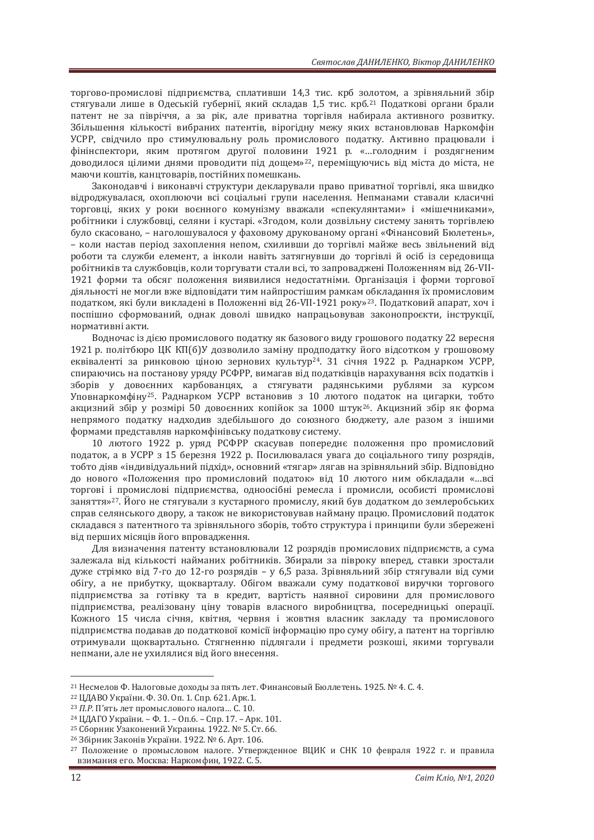торгово-промислові пілприємства, сплативши 14.3 тис. крб золотом, а зрівняльний збір стягували лише в Одеській губернії, який складав 1,5 тис. крб.<sup>21</sup> Податкові органи брали патент не за півріччя, а за рік, але приватна торгівля набирала активного розвитку. Збільшення кількості вибраних патентів, вірогідну межу яких встановлював Наркомфін УСРР, свідчило про стимулювальну роль промислового податку. Активно працювали і фінінспектори, яким протягом другої половини 1921 р. «...голодним і роздягненим доводилося цілими днями проводити під дощем»<sup>22</sup>, переміщуючись від міста до міста, не маючи коштів, канцтоварів, постійних помешкань.

Законодавчі і виконавчі структури декларували право приватної торгівлі, яка швидко відроджувалася, охоплюючи всі соціальні групи населення. Непманами ставали класичні торговці, яких у роки воєнного комунізму вважали «спекулянтами» і «мішечниками», робітники і службовці, селяни і кустарі. «Згодом, коли дозвільну систему занять торгівлею було скасовано, – наголошувалося у фаховому друкованому органі «Фінансовий Бюлетень», – коли настав період захоплення непом, схиливши до торгівлі майже весь звільнений від роботи та служби елемент, а інколи навіть затягнувши до торгівлі й осіб із середовища робітників та службовців, коли торгувати стали всі, то запроваджені Положенням від 26-VII-1921 форми та обсяг положення виявилися недостатніми. Організація і форми торгової діяльності не могли вже відповідати тим найпростішим рамкам обкладання їх промисловим податком, які були викладені в Положенні від 26-VII-1921 року»<sup>23</sup>. Податковий апарат, хоч і поспішно сформований, однак доволі швидко напрацьовував законопроєкти, інструкції, нормативні акти.

Водночас із дією промислового податку як базового виду грошового податку 22 вересня 1921 р. політбюро ЦК КП(б)У дозволило заміну продподатку його відсотком у грошовому еквіваленті за ринковою ціною зернових культур<sup>24</sup>. З1 січня 1922 р. Раднарком УСРР, спираючись на постанову уряду РСФРР, вимагав від податківців нарахування всіх податків і зборів у довоєнних карбованцях, а стягувати радянськими рублями за курсом Уповнаркомфіну<sup>25</sup>. Раднарком УСРР встановив з 10 лютого податок на цигарки, тобто акцизний збір у розмірі 50 довоєнних копійок за 1000 штук<sup>26</sup>. Акцизний збір як форма непрямого податку надходив здебільшого до союзного бюджету, але разом з іншими формами представляв наркомфінівську податкову систему.

10 лютого 1922 р. уряд РСФРР скасував попереднє положення про промисловий податок, а в УСРР з 15 березня 1922 р. Посилювалася увага до соціального типу розрядів, тобто діяв «індивідуальний підхід», основний «тягар» лягав на зрівняльний збір. Відповідно до нового «Положення про промисловий податок» від 10 лютого ним обкладали «...всі торгові і промислові пілприємства, одноосібні ремесла і промисли, особисті промислові заняття»<sup>27</sup>. Його не стягували з кустарного промислу, який був додатком до землеробських справ селянського двору, а також не використовував найману працю. Промисловий податок складався з патентного та зрівняльного зборів, тобто структура і принципи були збережені від перших місяців його впровадження.

Для визначення патенту встановлювали 12 розрядів промислових підприємств, а сума залежала від кількості найманих робітників. Збирали за півроку вперед, ставки зростали дуже стрімко від 7-го до 12-го розрядів - у 6,5 раза. Зрівняльний збір стягували від суми обігу, а не прибутку, щокварталу. Обігом вважали суму податкової виручки торгового підприємства за готівку та в кредит, вартість наявної сировини для промислового підприємства, реалізовану ціну товарів власного виробництва, посередницькі операції. Кожного 15 числа січня, квітня, червня і жовтня власник закладу та промислового підприємства подавав до податкової комісії інформацію про суму обігу, а патент на торгівлю отримували щоквартально. Стягненню підлягали і предмети розкоші, якими торгували непмани, але не ухилялися від його внесення.

<sup>&</sup>lt;sup>21</sup> Несмелов Ф. Налоговые доходы за пять лет. Финансовый Бюллетень. 1925. № 4. С. 4.<br><sup>22</sup> ЦДАВО України. Ф. 30. Оп. 1. Спр. 621. Арк.1.

<sup>&</sup>lt;sup>23</sup> П.Р. П'ять лет промыслового налога... С. 10.<br><sup>24</sup> ЦДАГО України. – Ф. 1. – Оп.6. – Спр. 17. – Арк. 101.<br><sup>25</sup> Сборник Узаконений Украины. 1922. № 5. Ст. 66.<br><sup>26</sup> Збірник Законів України. 1922. № 6. Арт. 106.<br><sup>27</sup> Пол взимания его. Москва: Наркомфин, 1922. С. 5.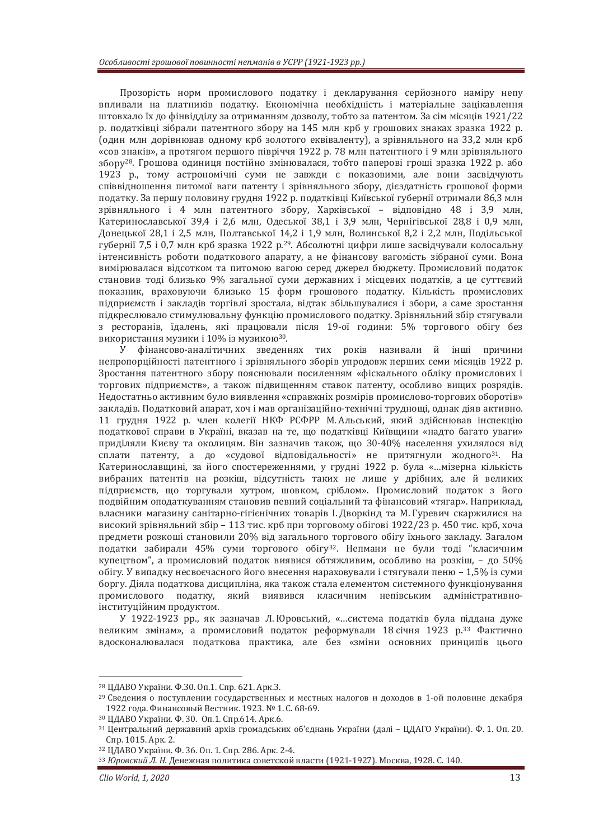Прозорість норм промислового податку і декларування серйозного наміру непу впливали на платників податку. Економічна необхідність і матеріальне зацікавлення штовхало їх до фінвідділу за отриманням дозволу, тобто за патентом. За сім місяців 1921/22 р. податківці зібрали патентного збору на 145 млн крб у грошових знаках зразка 1922 р. (один млн дорівнював одному крб золотого еквіваленту), а зрівняльного на 33,2 млн крб «сов знаків», а протягом першого півріччя 1922 р. 78 млн патентного і 9 млн зрівняльного збору<sup>28</sup>. Грошова одиниця постійно змінювалася, тобто паперові гроші зразка 1922 р. або 1923 р., тому астрономічні суми не завжди є показовими, але вони засвідчують співвідношення питомої ваги патенту і зрівняльного збору, дієздатність грошової форми податку. За першу половину грудня 1922 р. податківці Київської губернії отримали 86,3 млн зрівняльного і 4 млн патентного збору, Харківської – відповідно 48 і 3,9 млн, Катеринославської 39.4 і 2.6 млн. Олеської 38.1 і 3.9 млн. Чернігівської 28.8 і 0.9 млн. Донецької 28,1 і 2,5 млн, Полтавської 14,2 і 1,9 млн, Волинської 8,2 і 2,2 млн, Подільської губернії 7,5 і 0,7 млн крб зразка 1922 р.<sup>29</sup>. Абсолютні цифри лише засвідчували колосальну інтенсивність роботи податкового апарату, а не фінансову вагомість зібраної суми. Вона вимірювалася відсотком та питомою вагою серед джерел бюджету. Промисловий податок становив толі близько 9% загальної суми державних і місцевих полатків, а це суттєвий показник, враховуючи близько 15 форм грошового податку. Кількість промислових підприємств і закладів торгівлі зростала, відтак збільшувалися і збори, а саме зростання підкреслювало стимулювальну функцію промислового податку. Зрівняльний збір стягували з ресторанів, їдалень, які працювали після 19-ої години: 5% торгового обігу без використання музики і 10% із музикою<sup>30</sup>.

У фінансово-аналітичних зведеннях тих років називали й інші причини непропорційності патентного і зрівняльного зборів упродовж перших семи місяців 1922 р. Зростання патентного збору пояснювали посиленням «фіскального обліку промислових і торгових підприємств», а також підвищенням ставок патенту, особливо вищих розрядів. Недостатньо активним було виявлення «справжніх розмірів промислово-торгових оборотів» закладів. Податковий апарат, хоч і мав організаційно-технічні труднощі, однак діяв активно. 11 грудня 1922 р. член колегії НКФ РСФРР М. Альський, який здійснював інспекцію податкової справи в Україні, вказав на те, що податківці Київщини «надто багато уваги» приділяли Києву та околицям. Він зазначив також, що 30-40% населення ухилялося від сплати патенту, а до «судової відповідальності» не притягнули жодного<sup>з1</sup>. На Катеринославщині, за його спостереженнями, у грудні 1922 р. була «...мізерна кількість вибраних патентів на розкіш, відсутність таких не лише у дрібних, але й великих підприємств, що торгували хутром, шовком, сріблом». Промисловий податок з його полвійним ополаткуванням становив певний соціальний та фінансовий «тягар». Наприклад. власники магазину санітарно-гігієнічних товарів І. Дворкінд та М. Гуревич скаржилися на високий зрівняльний збір - 113 тис. крб при торговому обігові 1922/23 р. 450 тис. крб, хоча предмети розкоші становили 20% від загального торгового обігу їхнього закладу. Загалом податки забирали 45% суми торгового обігу<sup>32</sup>. Непмани не були тоді "класичним купецтвом", а промисловий податок виявися обтяжливим, особливо на розкіш, - до 50% обігу. У випадку несвоєчасного його внесення нараховували і стягували пеню - 1,5% із суми боргу. Діяла податкова дисципліна, яка також стала елементом системного функціонування промислового податку, який виявився класичним непівським адміністративноінституційним продуктом.

У 1922-1923 рр., як зазначав Л. Юровський, «...система податків була піддана дуже великим змінам», а промисловий полаток реформували 18 січня 1923 р.<sup>33</sup> Фактично вдосконалювалася податкова практика, але без «зміни основних принципів цього

<sup>28</sup> ЦДАВО України. Ф.30. Оп.1. Спр. 621. Арк.3.

<sup>&</sup>lt;sup>29</sup> Сведения о поступлении государственных и местных налогов и доходов в 1-ой половине декабря 1922 года. Финансовый Вестник. 1923. № 1. С. 68-69.<br><sup>30</sup> ЦДАВО України. Ф. 30. Оп.1. Спр.614. Арк.6.

<sup>&</sup>lt;sup>31</sup> Центральний державний архів громадських об'єднань України (далі – ЦДАГО України). Ф. 1. Оп. 20. Спр. 1015. Арк. 2.<br><sup>32</sup> ЦДАВО України. Ф. 36. Оп. 1. Спр. 286. Арк. 2-4.<br><sup>33</sup> *Юровский Л. Н.* Денежная политика советской власти (1921-1927). Москва, 1928. С. 140.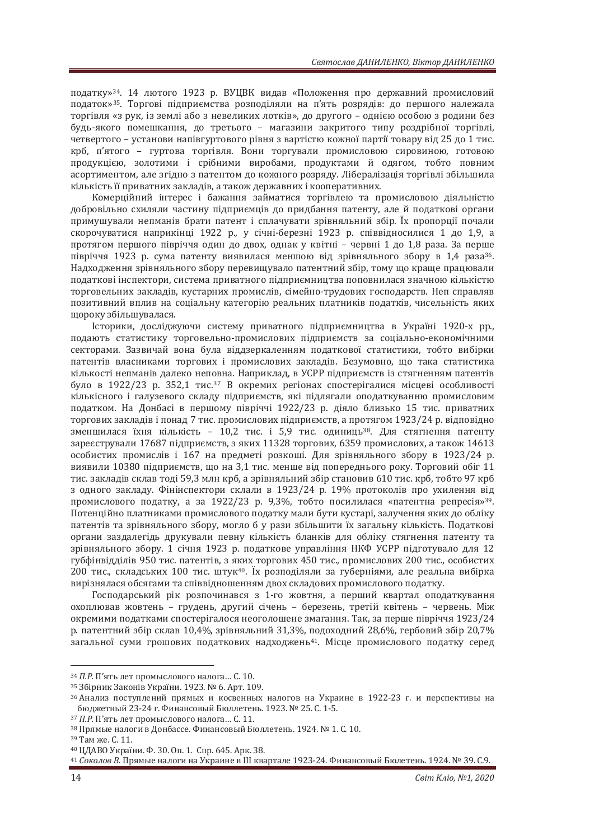податку»<sup>34</sup>. 14 лютого 1923 р. ВУШВК видав «Положення про державний промисловий податок»<sup>35</sup>. Торгові підприємства розподіляли на п'ять розрядів: до першого належала торгівля «з рук, із землі або з невеликих лотків», до другого - однією особою з родини без будь-якого помешкання, до третього - магазини закритого типу роздрібної торгівлі, четвертого – установи напівгуртового рівня з вартістю кожної партії товару від 25 до 1 тис. крб. п'ятого – гуртова торгівля. Вони торгували промисловою сировиною, готовою продукцією, золотими і срібними виробами, продуктами й одягом, тобто повним асортиментом, але згідно з патентом до кожного розряду. Лібералізація торгівлі збільшила кількість її приватних закладів, а також державних і кооперативних.

Комерційний інтерес і бажання займатися торгівлею та промисловою діяльністю добровільно схиляли частину підприємців до придбання патенту, але й податкові органи примушували непманів брати патент і сплачувати зрівняльний збір. Їх пропорції почали скорочуватися наприкінці 1922 р., у січні-березні 1923 р. співвідносилися 1 до 1,9, а протягом першого півріччя один до двох, однак у квітні - червні 1 до 1,8 раза. За перше півріччя 1923 р. сума патенту виявилася меншою від зрівняльного збору в 1,4 раза<sup>з6</sup>. Надходження зрівняльного збору перевищувало патентний збір, тому що краще працювали податкові інспектори, система приватного підприємництва поповнилася значною кількістю тооговельних закладів, кустарних промислів, сімейно-трудових господарств. Неп справляв позитивний вплив на соціальну категорію реальних платників полатків, чисельність яких щороку збільшувалася.

Історики, досліджуючи систему приватного підприємництва в Україні 1920-х рр., подають статистику торговельно-промислових підприємств за соціально-економічними секторами. Зазвичай вона була віддзеркаленням податкової статистики, тобто вибірки патентів власниками торгових і промислових закладів. Безумовно, що така статистика кількості непманів далеко неповна. Наприклад, в УСРР підприємств із стягненням патентів було в 1922/23 р. 352,1 тис.<sup>37</sup> В окремих регіонах спостерігалися місцеві особливості кількісного і галузевого складу підприємств, які підлягали оподаткуванню промисловим податком. На Донбасі в першому півріччі 1922/23 р. діяло близько 15 тис. приватних торгових закладів і понад 7 тис. промислових підприємств, а протягом 1923/24 р. відповідно зменшилася їхня кількість - 10,2 тис. і 5,9 тис. одиниць<sup>38</sup>. Для стягнення патенту зареєстрували 17687 підприємств, з яких 11328 торгових, 6359 промислових, а також 14613 особистих промислів і 167 на предметі розкоші. Для зрівняльного збору в 1923/24 р. виявили 10380 підприємств, що на 3.1 тис. менше від попереднього року. Торговий обіг 11 тис. закладів склав тоді 59,3 млн крб, а зрівняльний збір становив 610 тис. крб, тобто 97 крб з одного закладу. Фінінспектори склали в 1923/24 р. 19% протоколів про ухилення від промислового податку, а за 1922/23 р. 9,3%, тобто посилилася «патентна репресія»<sup>39</sup>. Потенційно платниками промислового податку мали бути кустарі, залучення яких до обліку патентів та зрівняльного збору, могло б у рази збільшити їх загальну кількість. Податкові органи заздалегідь друкували певну кількість бланків для обліку стягнення патенту та зрівняльного збору. 1 січня 1923 р. податкове управління НКФ УСРР підготувало для 12 губфінвідділів 950 тис. патентів, з яких торгових 450 тис., промислових 200 тис., особистих 200 тис., складських 100 тис. штук<sup>40</sup>. Їх розподіляли за губерніями, але реальна вибірка вирізнялася обсягами та співвідношенням двох складових промислового податку.

Господарський рік розпочинався з 1-го жовтня, а перший квартал оподаткування охоплював жовтень – грудень, другий січень – березень, третій квітень – червень. Між окремими податками спостерігалося неоголошене змагання. Так. за перше півріччя 1923/24 р. патентний збір склав 10,4%, зрівняльний 31,3%, подоходний 28,6%, гербовий збір 20,7% загальної суми грошових податкових надходжень<sup>41</sup>. Місце промислового податку серед

<sup>&</sup>lt;sup>34</sup> *П.Р.* П'ять лет промыслового налога… С. 10.<br><sup>35</sup> Збірник Законів України. 1923. № 6. Арт. 109.<br><sup>36</sup> Анализ поступлений прямых и косвенных налогов на Украине в 1922-23 г. и перспективы на бюджетный 23-24 г. Финансовый Бюллетень. 1923. № 25. С. 1-5.<br><sup>37</sup> П.Р. П'ять лет промыслового налога... С. 11.<br><sup>38</sup> Прямые налоги в Донбассе. Финансовый Бюллетень. 1924. № 1. С. 10.<br><sup>39</sup> Там же. С. 11.<br><sup>40</sup> ЦДАВО Україн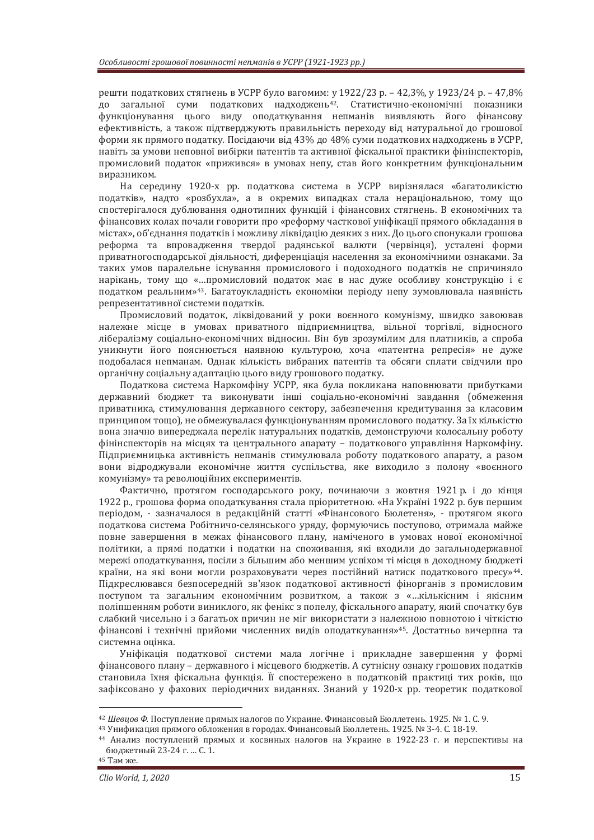решти податкових стягнень в УСРР було вагомим: у 1922/23 р. - 42,3%, у 1923/24 р. - 47,8% до загальної суми податкових надходжень<sup>42</sup>. Статистично-економічні показники функціонування цього виду оподаткування непманів виявляють його фінансову ефективність, а також пілтверджують правильність перехолу від натуральної до грошової форми як прямого податку. Посідаючи від 43% до 48% суми податкових надходжень в УСРР. навіть за умови неповної вибірки патентів та активної фіскальної практики фінінспекторів. промисловий полаток «прижився» в умовах непу, став його конкретним функціональним виразником.

На середину 1920-х рр. податкова система в УСРР вирізнялася «багатоликістю податків», надто «розбухла», а в окремих випадках стала нераціональною, тому що спостерігалося дублювання однотипних функцій і фінансових стягнень. В економічних та фінансових колах почали говорити про «реформу часткової уніфікації прямого обкладання в містах», об'єднання податків і можливу ліквідацію деяких з них. До цього спонукали грошова реформа та впровадження твердої радянської валюти (червінця), усталені форми приватногосподарської діяльності, диференціація населення за економічними ознаками. За таких умов паралельне існування промислового і подоходного податків не спричиняло нарікань, тому що «…промисловий податок має в нас дуже особливу конструкцію і є податком реальним»<sup>43</sup>. Багатоукладність економіки періоду непу зумовлювала наявність репрезентативної системи податків.

Промисловий податок, ліквідований у роки воєнного комунізму, швидко завоював належне місце в умовах приватного підприємництва, вільної торгівлі, відносного лібералізму соціально-економічних відносин. Він був зрозумілим для платників, а спроба уникнути його пояснюється наявною культурою, хоча «патентна репресія» не дуже подобалася непманам. Однак кількість вибраних патентів та обсяги сплати свідчили про органічну соціальну адаптацію цього виду грошового податку.

Податкова система Наркомфіну УСРР, яка була покликана наповнювати прибутками державний бюджет та виконувати інші соціально-економічні завдання (обмеження приватника, стимулювання державного сектору, забезпечення кредитування за класовим принципом тощо), не обмежувалася функціонуванням промислового податку. За їх кількістю вона значно випереджала перелік натуральних податків, демонструючи колосальну роботу фінінспекторів на місцях та центрального апарату - податкового управління Наркомфіну. Підприємницька активність непманів стимулювала роботу податкового апарату, а разом вони відроджували економічне життя суспільства, яке виходило з полону «воєнного комунізму» та революційних експериментів.

Фактично, протягом господарського року, починаючи з жовтня 1921 р. і до кінця 1922 р., грошова форма оподаткування стала пріоритетною, «На Україні 1922 р. був першим періодом, - зазначалося в редакційній статті «Фінансового Бюлетеня», - протягом якого податкова система Робітничо-селянського уряду, формуючись поступово, отримала майже повне завершення в межах фінансового плану, наміченого в умовах нової економічної політики, а прямі податки і податки на споживання, які входили до загальнодержавної мережі оподаткування, посіли з більшим або меншим успіхом ті місця в доходному бюджеті країни, на які вони могли розраховувати через постійний натиск податкового пресу»<sup>44</sup>. Підкреслювався безпосередній зв'язок податкової активності фінорганів з промисловим поступом та загальним економічним розвитком, а також з «...кількісним і якісним поліпшенням роботи виниклого, як фенікс з попелу, фіскального апарату, який спочатку був слабкий чисельно і з багатьох причин не міг використати з належною повнотою і чіткістю фінансові і технічні прийоми численних вилів ополаткування»<sup>45</sup>. Достатньо вичерпна та системна ошінка.

Уніфікація податкової системи мала логічне і прикладне завершення у формі фінансового плану - державного і місцевого бюджетів. А сутнісну ознаку грошових податків становила їхня фіскальна функція. Її спостережено в податковій практиці тих років, що зафіксовано у фахових періодичних виданнях. Знаний у 1920-х рр. теоретик податкової

<sup>&</sup>lt;sup>42</sup> Шевцов Ф. Поступление прямых налогов по Украине. Финансовый Бюллетень. 1925. № 1. С. 9.<br><sup>43</sup> Унификация прямого обложения в городах. Финансовый Бюллетень. 1925. № 3-4. С. 18-19.<br><sup>44</sup> Анализ поступлений прямых и

бюджетный 23-24 г. ... С. 1.<br><sup>45</sup> Там же.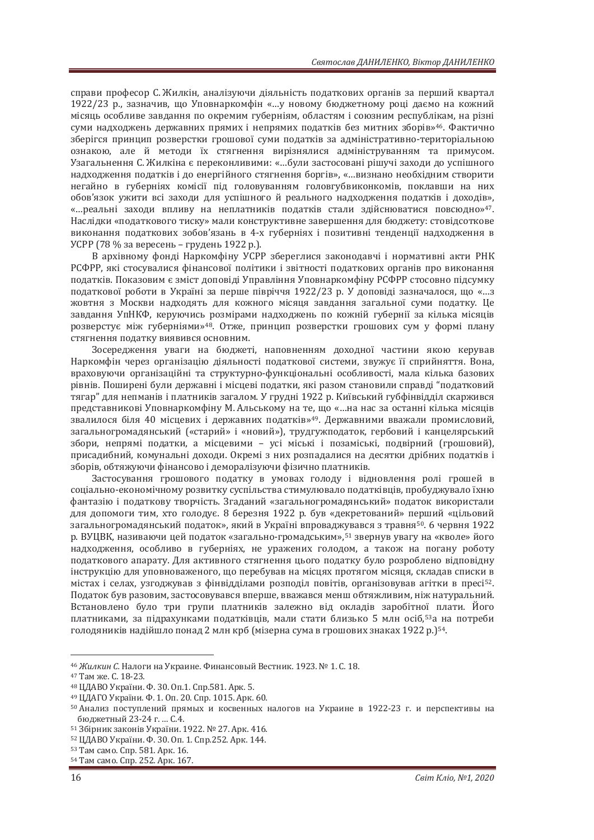справи професор С. Жилкін, аналізуючи ліяльність податкових органів за перший квартал 1922/23 р., зазначив, що Уповнаркомфін «...у новому бюджетному році даємо на кожний місяць особливе завдання по окремим губерніям, областям і союзним республікам, на різні суми надходжень державних прямих і непрямих податків без митних зборів»<sup>46</sup>. Фактично зберігся принцип розверстки грошової суми податків за адміністративно-територіальною ознакою, але й метоли їх стягнення вирізнялися алмініструванням та примусом. Узагальнення С. Жилкіна є переконливими: «...були застосовані рішучі захоли ло успішного надходження податків і до енергійного стягнення боргів», «...визнано необхідним створити негайно в губерніях комісії під головуванням головгубвиконкомів, поклавши на них обов'язок ужити всі заходи для успішного й реального надходження податків і доходів», «...реальні заходи впливу на неплатників податків стали здійснюватися повсюдно»<sup>47</sup>. Наслідки «податкового тиску» мали конструктивне завершення для бюджету: стовідсоткове виконання податкових зобов'язань в 4-х губерніях і позитивні тенденції надходження в УСРР (78 % за вересень - грудень 1922 р.).

В архівному фонді Наркомфіну УСРР збереглися законодавчі і нормативні акти РНК РСФРР, які стосувалися фінансової політики і звітності податкових органів про виконання податків. Показовим є зміст доповіді Управління Уповнаркомфіну РСФРР стосовно підсумку податкової роботи в Україні за перше півріччя 1922/23 р. У доповіді зазначалося, що «...з жовтня з Москви надходять для кожного місяця завдання загальної суми податку. Це завдання УпНКФ, керуючись розмірами надходжень по кожній губернії за кілька місяців розверстує між губерніями»<sup>48</sup>. Отже, принцип розверстки грошових сум у формі плану стягнення податку виявився основним.

Зосередження уваги на бюджеті, наповненням доходної частини якою керував Наркомфін через організацію діяльності податкової системи, звужує її сприйняття. Вона, враховуючи організаційні та структурно-функціональні особливості, мала кілька базових рівнів. Поширені були державні і місцеві податки, які разом становили справді "податковий тягар" для непманів і платників загалом. У грудні 1922 р. Київський губфінвідділ скаржився представникові Уповнаркомфіну М. Альському на те, що «...на нас за останні кілька місяців звалилося біля 40 місцевих і державних податків»<sup>49</sup>. Державними вважали промисловий, загальногромадянський («старий» і «новий»), трудгужподаток, гербовий і канцелярський збори, непрямі податки, а місцевими - усі міські і позаміські, подвірний (грошовий), присадибний, комунальні доходи. Окремі з них розпадалися на десятки дрібних податків і зборів, обтяжуючи фінансово і деморалізуючи фізично платників.

Застосування грошового податку в умовах голоду і відновлення ролі грошей в соціально-економічному розвитку суспільства стимулювало полатківців, пробуджувало їхню фантазію і податкову творчість. Згаданий «загальногромадянський» податок використали для допомоги тим, хто голодує. 8 березня 1922 р. був «декретований» перший «цільовий загальногромадянський податок», який в Україні впроваджувався з травня<sup>50</sup>. 6 червня 1922 р. ВУЦВК, називаючи цей податок «загально-громадським»,<sup>51</sup> звернув увагу на «кволе» його надходження, особливо в губерніях, не уражених голодом, а також на погану роботу податкового апарату. Для активного стягнення цього податку було розроблено відповідну інструкцію для уповноваженого, що перебував на місцях протягом місяця, складав списки в містах і селах, узгоджував з фінвідділами розподіл повітів, організовував агітки в пресі<sup>52</sup>. Податок був разовим, застосовувався вперше, вважався менш обтяжливим, ніж натуральний. Встановлено було три групи платників залежно від окладів заробітної плати. Його платниками, за пілрахунками полатківців, мали стати близько 5 млн осіб.<sup>53</sup>а на потреби голодяників надійшло понад 2 млн крб (мізерна сума в грошових знаках 1922 р.)<sup>54</sup>.

<sup>&</sup>lt;sup>46</sup> Жилкин С. Налоги на Украине. Финансовый Вестник. 1923. № 1. С. 18.<br><sup>47</sup> Там же. С. 18-23.<br><sup>48</sup> ЦДАВО України. Ф. 30. Оп.1. Спр.581. Арк. 5.<br><sup>49</sup> ЦДАГО України. Ф. 1. Оп. 20. Спр. 1015. Арк. 60.<br><sup>50</sup> Анализ поступле

бюджетный 23-24 г. ... С.4.<br><sup>51</sup> Збірник законів України. 1922. № 27. Арк. 416.<br><sup>52</sup> ЦДАВО України. Ф. 30. Оп. 1. Спр.252. Арк. 144.<br><sup>53</sup> Там само. Спр. 581. Арк. 16.<br><sup>54</sup> Там само. Спр. 252. Арк. 167.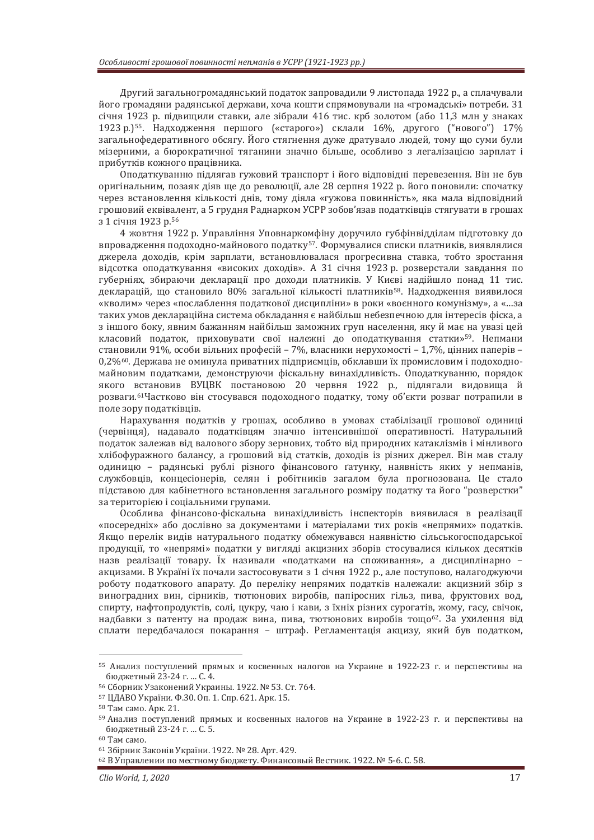Другий загальногромадянський податок запровадили 9 листопада 1922 р., а сплачували його громадяни радянської держави, хоча кошти спрямовували на «громадські» потреби. 31 січня 1923 р. підвищили ставки, але зібрали 416 тис. крб золотом (або 11,3 млн у знаках 1923 р.)<sup>55</sup>. Надходження першого («старого») склали 16%, другого ("нового") 17% загальнофедеративного обсягу. Його стягнення дуже дратувало людей, тому що суми були мізерними, а бюрократичної тяганини значно більше, особливо з легалізацією зарплат і прибутків кожного працівника.

Оподаткуванню підлягав гужовий транспорт і його відповідні перевезення. Він не був оригінальним, позаяк діяв ще до революції, але 28 серпня 1922 р. його поновили: спочатку через встановлення кількості днів, тому діяла «гужова повинність», яка мала відповідний грошовий еквівалент, а 5 грудня Раднарком УСРР зобов'язав податківців стягувати в грошах з 1 січня 1923 р.<sup>56</sup>

4 жовтня 1922 р. Управління Уповнаркомфіну доручило губфінвідділам підготовку до впровадження подоходно-майнового податку<sup>57</sup>. Формувалися списки платників, виявлялися джерела доходів, крім зарплати, встановлювалася прогресивна ставка, тобто зростання відсотка оподаткування «високих доходів». А 31 січня 1923 р. розверстали завдання по губерніях, збираючи декларації про доходи платників. У Києві надійшло понад 11 тис. декларацій, що становило 80% загальної кількості платників<sup>58</sup>. Надходження виявилося «кволим» через «послаблення податкової дисципліни» в роки «воєнного комунізму», а «...за таких умов деклараційна система обкладання є найбільш небезпечною для інтересів фіска, а з іншого боку, явним бажанням найбільш заможних груп населення, яку й має на увазі цей класовий податок, приховувати свої належні до оподаткування статки»<sup>59</sup>. Непмани становили 91%, особи вільних професій – 7%, власники нерухомості – 1,7%, цінних паперів – 0,2%<sup>60</sup>. Держава не оминула приватних підприємців, обклавши їх промисловим і подоходномайновим податками, демонструючи фіскальну винахідливість. Оподаткуванню, порядок якого встановив ВУЦВК постановою 20 червня 1922 р., підлягали видовища й розваги.<sup>61</sup>Частково він стосувався подоходного податку, тому об'єкти розваг потрапили в поле зору податківців.

Нарахування податків у грошах, особливо в умовах стабілізації грошової одиниці (червінця), надавало податківцям значно інтенсивнішої оперативності. Натуральний податок залежав від валового збору зернових, тобто від природних катаклізмів і мінливого хлібофуражного балансу, а грошовий від статків, доходів із різних джерел. Він мав сталу одиницю - радянські рублі різного фінансового ґатунку, наявність яких у непманів, службовців, концесіонерів, селян і робітників загалом була прогнозована. Це стало підставою для кабінетного встановлення загального розміру податку та його "розверстки" за територією і соціальними групами.

Особлива фінансово-фіскальна винахідливість інспекторів виявилася в реалізації «посередніх» або дослівно за документами і матеріалами тих років «непрямих» податків. Якщо перелік видів натурального податку обмежувався наявністю сільськогосподарської продукції, то «непрямі» податки у вигляді акцизних зборів стосувалися кількох десятків назв реалізації товару. Їх називали «податками на споживання», а дисциплінарно акцизами. В Україні їх почали застосовувати з 1 січня 1922 р., але поступово, налагоджуючи роботу податкового апарату. До переліку непрямих податків належали: акцизний збір з виноградних вин, сірників, тютюнових виробів, папіросних гільз, пива, фруктових вод, спирту, нафтопродуктів, солі, цукру, чаю і кави, з їхніх різних сурогатів, жому, гасу, свічок, налбавки з патенту на пролаж вина, пива, тютюнових виробів тошо<sup>62</sup>. За ухилення від сплати передбачалося покарання – штраф. Регламентація акцизу, який був податком.

<sup>55</sup> Анализ поступлений прямых и косвенных налогов на Украине в 1922-23 г. и перспективы на бюджетный 23-24 г. … С. 4.<br><sup>56</sup> Сборник Узаконений Украины. 1922. № 53. Ст. 764.<br><sup>57</sup> ЦДАВО України. Ф.30. Оп. 1. Спр. 621. Арк. 15.<br><sup>58</sup> Там само. Арк. 21.<br><sup>59</sup> Анализ поступлений прямых и косвенных налогов на Украине в

бюджетный 23-24 г. ... С. 5.<br><sup>60</sup> Там само.

 $61$  Збірник Законів України. 1922. № 28. Арт. 429.<br> $62$  В Управлении по местному бюджету. Финансовый Вестник. 1922. № 5-6. С. 58.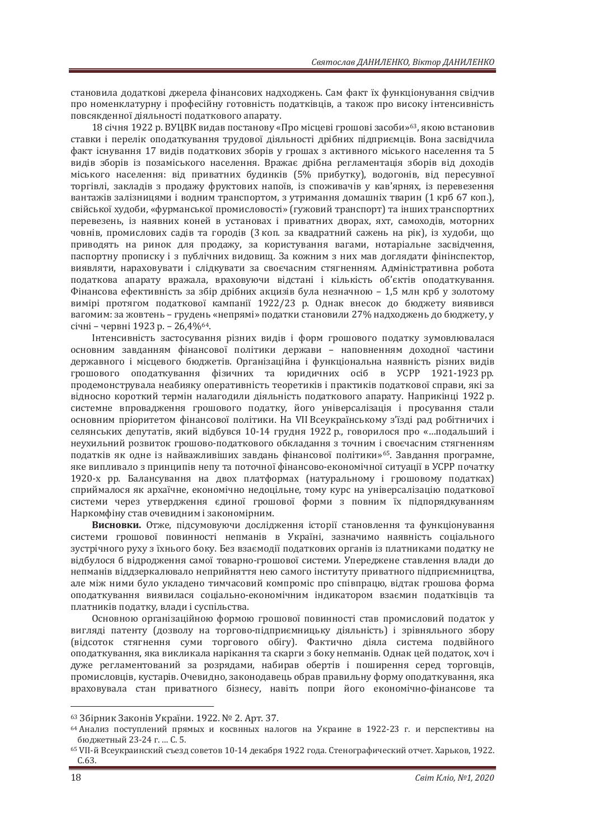становила лолаткові лжерела фінансових налхолжень. Сам факт їх функціонування свідчив про номенклатурну і професійну готовність податківців, а також про високу інтенсивність повсякленної ліяльності полаткового апарату.

18 січня 1922 р. ВУЦВК видав постанову «Про місцеві грошові засоби»<sup>63</sup>, якою встановив ставки і перелік оподаткування трудової діяльності дрібних підприємців. Вона засвідчила факт існування 17 вилів полаткових зборів у грошах з активного міського населення та 5 вилів зборів із позаміського населення. Вражає лрібна регламентація зборів віл лохолів міського населення: від приватних будинків (5% прибутку), водогонів, від пересувної торгівлі, закладів з продажу фруктових напоїв, із споживачів у кав'ярнях, із перевезення вантажів залізницями і водним транспортом, з утримання домашніх тварин (1 крб 67 коп.), свійської худоби, «фурманської промисловості» (гужовий транспорт) та інших транспортних перевезень, із наявних коней в установах і приватних дворах, яхт, самоходів, моторних човнів, промислових садів та городів (3 коп. за квадратний сажень на рік), із худоби, що приводять на ринок для продажу, за користування вагами, нотаріальне засвідчення, паспортну прописку і з публічних видовищ. За кожним з них мав доглядати фінінспектор, виявляти, нараховувати і слідкувати за своєчасним стягненням. Адміністративна робота податкова апарату вражала, враховуючи відстані і кількість об'єктів оподаткування. Фінансова ефективність за збір дрібних акцизів була незначною - 1,5 млн крб у золотому вимірі протягом податкової кампанії 1922/23 р. Однак внесок до бюджету виявився вагомим: за жовтень - грудень «непрямі» податки становили 27% надходжень до бюджету, у січні - червні 1923 р. - 26,4%<sup>64</sup>.

Iнтенсивність застосування різних видів і форм грошового податку зумовлювалася основним завданням фінансової політики держави - наповненням доходної частини державного і місцевого бюджетів. Організаційна і функціональна наявність різних видів грошового оподаткування фізичних та юридичних осіб в УСРР 1921-1923 рр. продемонструвала неабияку оперативність теоретиків і практиків податкової справи, які за відносно короткий термін налагодили діяльність податкового апарату. Наприкінці 1922 р. системне впровадження грошового податку, його універсалізація і просування стали основним пріоритетом фінансової політики. На VII Всеукраїнському з'їзді рад робітничих і селянських депутатів, який відбувся 10-14 грудня 1922 р., говорилося про «...подальший і неухильний розвиток грошово-податкового обкладання з точним і своєчасним стягненням податків як одне із найважливіших завдань фінансової політики»<sup>65</sup>. Завдання програмне, яке випливало з принципів непу та поточної фінансово-економічної ситуації в УСРР початку 1920-х рр. Балансування на двох платформах (натуральному і грошовому податках) сприймалося як архаїчне, економічно недоцільне, тому курс на універсалізацію податкової системи через утвердження єдиної грошової форми з повним їх підпорядкуванням Наркомфіну став очевидним і закономірним.

Висновки. Отже, підсумовуючи дослідження історії становлення та функціонування системи грошової повинності непманів в Україні, зазначимо наявність соціального зустрічного руху з їхнього боку. Без взаємодії податкових органів із платниками податку не вілбулося б вілродження самої товарно-грошової системи. Упереджене ставлення влади до непманів віддзеркалювало неприйняття нею самого інституту приватного підприємництва, але між ними було укладено тимчасовий компроміс про співпрацю, відтак грошова форма оподаткування виявилася соціально-економічним індикатором взаємин податківців та платників податку, влади і суспільства.

Основною організаційною формою грошової повинності став промисловий податок у вигляді патенту (дозволу на торгово-підприємницьку діяльність) і зрівняльного збору (відсоток стягнення суми торгового обігу). Фактично діяла система подвійного оподаткування, яка викликала нарікання та скарги з боку непманів. Однак цей податок, хоч і дуже регламентований за розрядами, набирав обертів і поширення серед торговців, промисловців, кустарів. Очевидно, законодавець обрав правильну форму оподаткування, яка враховувала стан приватного бізнесу, навіть попри його економічно-фінансове та

<sup>&</sup>lt;sup>63</sup> Збірник Законів України. 1922. № 2. Арт. 37.<br><sup>64</sup> Анализ поступлений прямых и косвнных налогов на Украине в 1922-23 г. и перспективы на бюджетный 23-24 г. … С. 5.<br><sup>65</sup> VII-й Всеукраинский съезд советов 10-14 декабря 1922 года. Стенографический отчет. Харьков, 1922.

C.63.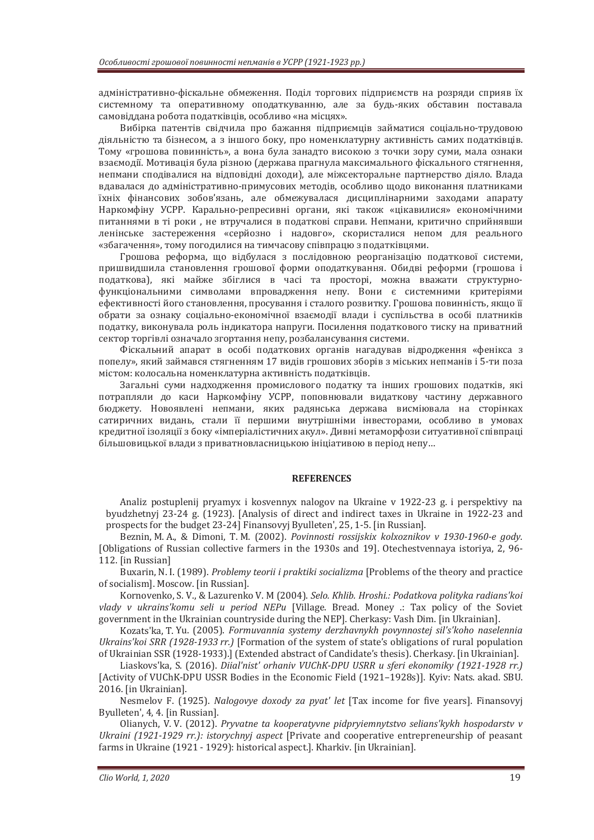адміністративно-фіскальне обмеження. Поділ торгових підприємств на розряди сприяв їх системному та оперативному оподаткуванню, але за будь-яких обставин поставала самовіддана робота податківців, особливо «на місцях».

Вибірка патентів свідчила про бажання підприємців займатися соціально-трудовою діяльністю та бізнесом, а з іншого боку, про номенклатурну активність самих податківців. Тому «грошова повинність», а вона була занадто високою з точки зору суми, мала ознаки взаємодії. Мотивація була різною (держава прагнула максимального фіскального стягнення. непмани сподівалися на відповідні доходи), але міжсекторальне партнерство діяло. Влада вдавалася до адміністративно-примусових методів, особливо щодо виконання платниками їхніх фінансових зобов'язань, але обмежувалася дисциплінарними заходами апарату Наркомфіну УСРР. Карально-репресивні органи, які також «цікавилися» економічними питаннями в ті роки, не втручалися в полаткові справи. Непмани, критично сприйнявши ленінське застереження «серйозно і надовго», скористалися непом для реального «збагачення», тому погодилися на тимчасову співпрацю з податківцями.

Грошова реформа, що відбулася з послідовною реорганізацію податкової системи, пришвидшила становлення грошової форми оподаткування. Обидві реформи (грошова і податкова), які майже збіглися в часі та просторі, можна вважати структурнофункціональними символами впровадження непу. Вони є системними критеріями ефективності його становлення, просування і сталого розвитку. Грошова повинність, якщо її обрати за ознаку соціально-економічної взаємодії влади і суспільства в особі платників податку, виконувала роль індикатора напруги. Посилення податкового тиску на приватний сектор торгівлі означало згортання непу, розбалансування системи.

Фіскальний апарат в особі податкових органів нагадував відродження «фенікса з попелу», який займався стягненням 17 видів грошових зборів з міських непманів і 5-ти поза містом: колосальна номенклатурна активність податківців.

Загальні суми надходження промислового податку та інших грошових податків, які потрапляли до каси Наркомфіну УСРР, поповнювали видаткову частину державного бюджету. Новоявлені непмани, яких радянська держава висміювала на сторінках сатиричних видань, стали її першими внутрішніми інвесторами, особливо в умовах кредитної ізоляції з боку «імперіалістичних акул». Дивні метаморфози ситуативної співпраці більшовицької влади з приватновласницькою ініціативою в період непу...

# **REFERENCES**

Analiz postuplenij pryamyx i kosvennyx nalogov na Ukraine v 1922-23 g. i perspektivy na byudzhetnyj 23-24 g. (1923). [Analysis of direct and indirect taxes in Ukraine in 1922-23 and prospects for the budget 23-24] Finansovyj Byulleten', 25, 1-5. [in Russian].

Beznin, M. A., & Dimoni, T. M. (2002). *Povinnosti rossijskix kolxoznikov v 1930-1960-e gody.* [Obligations of Russian collective farmers in the 1930s and 19]. Otechestvennaya istoriya, 2, 96- 112. [in Russian]

Buxarin, N. I. (1989). Problemy teorii i praktiki socializma [Problems of the theory and practice of socialism]. Moscow. [in Russian].

Kornovenko, S. V., & Lazurenko V. M (2004). *Selo. Khlib. Hroshi.: Podatkova polityka radians'koi vlady v ukrains'komu seli u period NEPu* [Village. Bread. Money .: Tax policy of the Soviet government in the Ukrainian countryside during the NEP]. Cherkasy: Vash Dim. [in Ukrainian].

Kozats'ka, T. Yu. (2005). *Formuvannia systemy derzhavnykh povynnostej sil's'koho naselennia Ukrains'koi SRR (1928-1933 rr.)* [Formation of the system of state's obligations of rural population of Ukrainian SSR (1928-1933).] (Extended abstract of Candidate's thesis). Cherkasy. [in Ukrainian].

Liaskovs'ka, S. (2016). *Diial'nist' orhaniv VUChK-DPU USRR u sferi ekonomiky (1921-1928 rr.)* [Activity of VUChK-DPU USSR Bodies in the Economic Field (1921–1928s)]. Kyiv: Nats. akad. SBU. 2016. [in Ukrainian].

Nesmelov F. (1925). *Nalogovye doxody za pyat' let* [Tax income for five years]. Finansovyj Byulleten', 4, 4. [in Russian].

Olianych, V. V. (2012). *Pryvatne ta kooperatyvne pidpryiemnytstvo selians'kykh hospodarstv v Ukraini (1921-1929 rr.): istorychnyj aspect* [Private and cooperative entrepreneurship of peasant farms in Ukraine (1921 - 1929): historical aspect.]. Kharkiv. [in Ukrainian].